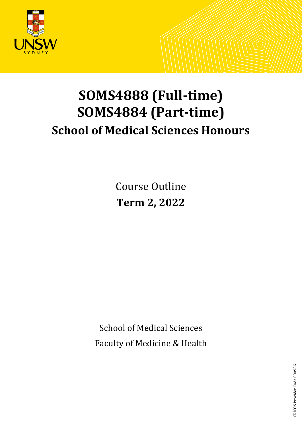

# **SOMS4888 (Full-time) SOMS4884 (Part-time) School of Medical Sciences Honours**

Course Outline **Term 2, 2022**

School of Medical Sciences Faculty of Medicine & Health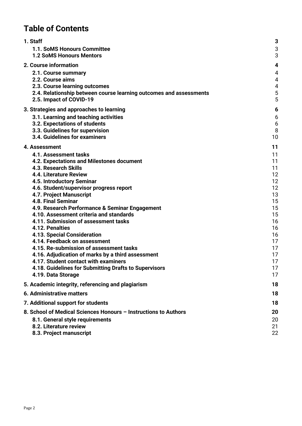# **Table of Contents**

| 1. Staff                                                           | 3              |
|--------------------------------------------------------------------|----------------|
| 1.1. SoMS Honours Committee                                        | 3              |
| <b>1.2 SoMS Honours Mentors</b>                                    | 3              |
| <b>2. Course information</b>                                       | 4              |
| 2.1. Course summary                                                | 4              |
| 2.2. Course aims                                                   | 4              |
| 2.3. Course learning outcomes                                      | $\overline{4}$ |
| 2.4. Relationship between course learning outcomes and assessments | 5              |
| 2.5. Impact of COVID-19                                            | 5              |
| 3. Strategies and approaches to learning                           | 6              |
| 3.1. Learning and teaching activities                              | 6              |
| 3.2. Expectations of students                                      | 6              |
| 3.3. Guidelines for supervision                                    | 8              |
| 3.4. Guidelines for examiners                                      | 10             |
| 4. Assessment                                                      | 11             |
| 4.1. Assessment tasks                                              | 11             |
| 4.2. Expectations and Milestones document                          | 11             |
| <b>4.3. Research Skills</b>                                        | 11             |
| 4.4. Literature Review                                             | 12             |
| 4.5. Introductory Seminar                                          | 12             |
| 4.6. Student/supervisor progress report                            | 12             |
| 4.7. Project Manuscript                                            | 13             |
| <b>4.8. Final Seminar</b>                                          | 15             |
| 4.9. Research Performance & Seminar Engagement                     | 15             |
| 4.10. Assessment criteria and standards                            | 15             |
| 4.11. Submission of assessment tasks                               | 16             |
| 4.12. Penalties                                                    | 16             |
| <b>4.13. Special Consideration</b>                                 | 16             |
| 4.14. Feedback on assessment                                       | 17             |
| 4.15. Re-submission of assessment tasks                            | 17             |
| 4.16. Adjudication of marks by a third assessment                  | 17             |
| 4.17. Student contact with examiners                               | 17             |
| 4.18. Guidelines for Submitting Drafts to Supervisors              | 17             |
| 4.19. Data Storage                                                 | 17             |
| 5. Academic integrity, referencing and plagiarism                  | 18             |
| 6. Administrative matters                                          | 18             |
| 7. Additional support for students                                 | 18             |
| 8. School of Medical Sciences Honours - Instructions to Authors    | 20             |
| 8.1. General style requirements                                    | 20             |
| 8.2. Literature review                                             | 21             |
| 8.3. Project manuscript                                            | 22             |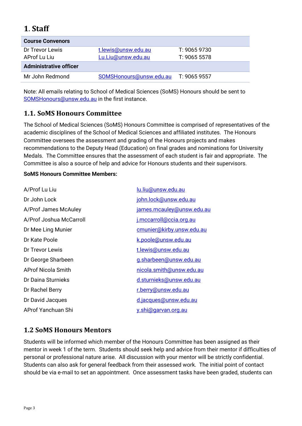# <span id="page-2-0"></span>**1**. **Staff**

| <b>Course Convenors</b>       |                         |              |
|-------------------------------|-------------------------|--------------|
| Dr Trevor Lewis               | t.lewis@unsw.edu.au     | T: 9065 9730 |
| AProf Lu Liu                  | Lu.Liu@unsw.edu.au      | T: 90655578  |
| <b>Administrative officer</b> |                         |              |
| Mr John Redmond               | SOMSHonours@unsw.edu.au | T: 9065 9557 |

Note: All emails relating to School of Medical Sciences (SoMS) Honours should be sent to [SOMSHonours@unsw.edu.au](mailto:SOMSHonours@unsw.edu.au) in the first instance.

# <span id="page-2-1"></span>**1.1. SoMS Honours Committee**

The School of Medical Sciences (SoMS) Honours Committee is comprised of representatives of the academic disciplines of the School of Medical Sciences and affiliated institutes. The Honours Committee oversees the assessment and grading of the Honours projects and makes recommendations to the Deputy Head (Education) on final grades and nominations for University Medals. The Committee ensures that the assessment of each student is fair and appropriate. The Committee is also a source of help and advice for Honours students and their supervisors.

### **SoMS Honours Committee Members:**

| A/Prof Lu Liu             | lu.liu@unsw.edu.au         |
|---------------------------|----------------------------|
| Dr John Lock              | john.lock@unsw.edu.au      |
| A/Prof James McAuley      | james.mcauley@unsw.edu.au  |
| A/Prof Joshua McCarroll   | j.mccarroll@ccia.org.au    |
| Dr Mee Ling Munier        | cmunier@kirby.unsw.edu.au  |
| Dr Kate Poole             | k.poole@unsw.edu.au        |
| Dr Trevor Lewis           | t.lewis@unsw.edu.au        |
| Dr George Sharbeen        | g.sharbeen@unsw.edu.au     |
| <b>AProf Nicola Smith</b> | nicola.smith@unsw.edu.au   |
| Dr Daina Sturnieks        | d.sturnieks@unsw.edu.au    |
| Dr Rachel Berry           | r.berry@unsw.edu.au        |
| Dr David Jacques          | d.jacques@unsw.edu.au      |
| <b>AProf Yanchuan Shi</b> | <u>y.shi@qarvan.org.au</u> |

# <span id="page-2-2"></span>**1.2 SoMS Honours Mentors**

Students will be informed which member of the Honours Committee has been assigned as their mentor in week 1 of the term. Students should seek help and advice from their mentor if difficulties of personal or professional nature arise. All discussion with your mentor will be strictly confidential. Students can also ask for general feedback from their assessed work. The initial point of contact should be via e-mail to set an appointment. Once assessment tasks have been graded, students can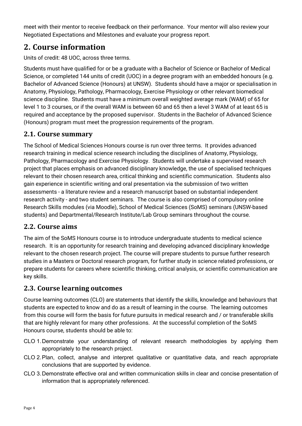meet with their mentor to receive feedback on their performance. Your mentor will also review your Negotiated Expectations and Milestones and evaluate your progress report.

# <span id="page-3-0"></span>**2. Course information**

Units of credit: 48 UOC, across three terms.

Students must have qualified for or be a graduate with a Bachelor of Science or Bachelor of Medical Science, or completed 144 units of credit (UOC) in a degree program with an embedded honours (e.g. Bachelor of Advanced Science (Honours) at UNSW). Students should have a major or specialisation in Anatomy, Physiology, Pathology, Pharmacology, Exercise Physiology or other relevant biomedical science discipline. Students must have a minimum overall weighted average mark (WAM) of 65 for level 1 to 3 courses, or if the overall WAM is between 60 and 65 then a level 3 WAM of at least 65 is required and acceptance by the proposed supervisor. Students in the Bachelor of Advanced Science (Honours) program must meet the progression requirements of the program.

# <span id="page-3-1"></span>**2.1. Course summary**

The School of Medical Sciences Honours course is run over three terms. It provides advanced research training in medical science research including the disciplines of Anatomy, Physiology, Pathology, Pharmacology and Exercise Physiology. Students will undertake a supervised research project that places emphasis on advanced disciplinary knowledge, the use of specialised techniques relevant to their chosen research area, critical thinking and scientific communication. Students also gain experience in scientific writing and oral presentation via the submission of two written assessments - a literature review and a research manuscript based on substantial independent research activity - and two student seminars. The course is also comprised of compulsory online Research Skills modules (via Moodle), School of Medical Sciences (SoMS) seminars (UNSW-based students) and Departmental/Research Institute/Lab Group seminars throughout the course.

# <span id="page-3-2"></span>**2.2. Course aims**

The aim of the SoMS Honours course is to introduce undergraduate students to medical science research. It is an opportunity for research training and developing advanced disciplinary knowledge relevant to the chosen research project. The course will prepare students to pursue further research studies in a Masters or Doctoral research program, for further study in science related professions, or prepare students for careers where scientific thinking, critical analysis, or scientific communication are key skills.

# <span id="page-3-3"></span>**2.3. Course learning outcomes**

Course learning outcomes (CLO) are statements that identify the skills, knowledge and behaviours that students are expected to know and do as a result of learning in the course. The learning outcomes from this course will form the basis for future pursuits in medical research and / or transferable skills that are highly relevant for many other professions. At the successful completion of the SoMS Honours course, students should be able to:

- CLO 1.Demonstrate your understanding of relevant research methodologies by applying them appropriately to the research project.
- CLO 2.Plan, collect, analyse and interpret qualitative or quantitative data, and reach appropriate conclusions that are supported by evidence.
- CLO 3.Demonstrate effective oral and written communication skills in clear and concise presentation of information that is appropriately referenced.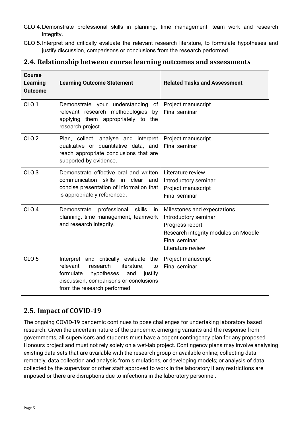- CLO 4.Demonstrate professional skills in planning, time management, team work and research integrity.
- CLO 5.Interpret and critically evaluate the relevant research literature, to formulate hypotheses and justify discussion, comparisons or conclusions from the research performed.

### <span id="page-4-0"></span>**2.4. Relationship between course learning outcomes and assessments**

| <b>Course</b><br><b>Learning</b><br><b>Outcome</b> | <b>Learning Outcome Statement</b>                                                                                                                                                                         | <b>Related Tasks and Assessment</b>                                                                                                                         |
|----------------------------------------------------|-----------------------------------------------------------------------------------------------------------------------------------------------------------------------------------------------------------|-------------------------------------------------------------------------------------------------------------------------------------------------------------|
| CLO <sub>1</sub>                                   | Demonstrate your understanding<br>of<br>relevant research methodologies<br>by<br>applying them appropriately to the<br>research project.                                                                  | Project manuscript<br><b>Final seminar</b>                                                                                                                  |
| CLO <sub>2</sub>                                   | Plan, collect, analyse and interpret<br>qualitative or quantitative data, and<br>reach appropriate conclusions that are<br>supported by evidence.                                                         | Project manuscript<br><b>Final seminar</b>                                                                                                                  |
| CLO <sub>3</sub>                                   | Demonstrate effective oral and written<br>communication skills<br>in i<br>clear<br>and<br>concise presentation of information that<br>is appropriately referenced.                                        | Literature review<br>Introductory seminar<br>Project manuscript<br><b>Final seminar</b>                                                                     |
| CLO <sub>4</sub>                                   | professional<br>skills<br>Demonstrate<br>-in<br>planning, time management, teamwork<br>and research integrity.                                                                                            | Milestones and expectations<br>Introductory seminar<br>Progress report<br>Research integrity modules on Moodle<br><b>Final seminar</b><br>Literature review |
| CLO <sub>5</sub>                                   | Interpret and critically evaluate the<br>relevant<br>research<br>to<br>literature,<br>formulate<br>hypotheses<br>and<br>justify<br>discussion, comparisons or conclusions<br>from the research performed. | Project manuscript<br><b>Final seminar</b>                                                                                                                  |

# <span id="page-4-1"></span>**2.5. Impact of COVID-19**

The ongoing COVID-19 pandemic continues to pose challenges for undertaking laboratory based research. Given the uncertain nature of the pandemic, emerging variants and the response from governments, all supervisors and students must have a cogent contingency plan for any proposed Honours project and must not rely solely on a wet-lab project. Contingency plans may involve analysing existing data sets that are available with the research group or available online; collecting data remotely; data collection and analysis from simulations, or developing models; or analysis of data collected by the supervisor or other staff approved to work in the laboratory if any restrictions are imposed or there are disruptions due to infections in the laboratory personnel.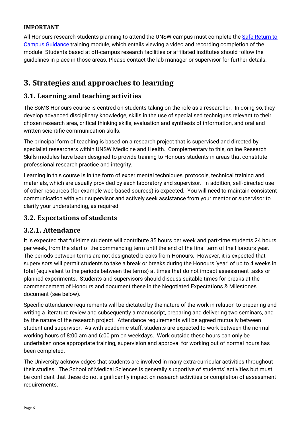### **IMPORTANT**

All Honours research students planning to attend the UNSW campus must complete the [Safe Return to](https://www.covid-19.unsw.edu.au/safe-return-campus-hdr-candidates-and-honours-research-students)  [Campus Guidance](https://www.covid-19.unsw.edu.au/safe-return-campus-hdr-candidates-and-honours-research-students) training module, which entails viewing a video and recording completion of the module. Students based at off-campus research facilities or affiliated institutes should follow the guidelines in place in those areas. Please contact the lab manager or supervisor for further details.

# <span id="page-5-0"></span>**3. Strategies and approaches to learning**

# <span id="page-5-1"></span>**3.1. Learning and teaching activities**

The SoMS Honours course is centred on students taking on the role as a researcher. In doing so, they develop advanced disciplinary knowledge, skills in the use of specialised techniques relevant to their chosen research area, critical thinking skills, evaluation and synthesis of information, and oral and written scientific communication skills.

The principal form of teaching is based on a research project that is supervised and directed by specialist researchers within UNSW Medicine and Health. Complementary to this, online Research Skills modules have been designed to provide training to Honours students in areas that constitute professional research practice and integrity.

Learning in this course is in the form of experimental techniques, protocols, technical training and materials, which are usually provided by each laboratory and supervisor. In addition, self-directed use of other resources (for example web-based sources) is expected. You will need to maintain consistent communication with your supervisor and actively seek assistance from your mentor or supervisor to clarify your understanding, as required.

# <span id="page-5-2"></span>**3.2. Expectations of students**

### **3.2.1. Attendance**

It is expected that full-time students will contribute 35 hours per week and part-time students 24 hours per week, from the start of the commencing term until the end of the final term of the Honours year. The periods between terms are not designated breaks from Honours. However, it is expected that supervisors will permit students to take a break or breaks during the Honours 'year' of up to 4 weeks in total (equivalent to the periods between the terms) at times that do not impact assessment tasks or planned experiments. Students and supervisors should discuss suitable times for breaks at the commencement of Honours and document these in the Negotiated Expectations & Milestones document (see below).

Specific attendance requirements will be dictated by the nature of the work in relation to preparing and writing a literature review and subsequently a manuscript, preparing and delivering two seminars, and by the nature of the research project. Attendance requirements will be agreed mutually between student and supervisor. As with academic staff, students are expected to work between the normal working hours of 8:00 am and 6:00 pm on weekdays. Work outside these hours can only be undertaken once appropriate training, supervision and approval for working out of normal hours has been completed.

The University acknowledges that students are involved in many extra-curricular activities throughout their studies. The School of Medical Sciences is generally supportive of students' activities but must be confident that these do not significantly impact on research activities or completion of assessment requirements.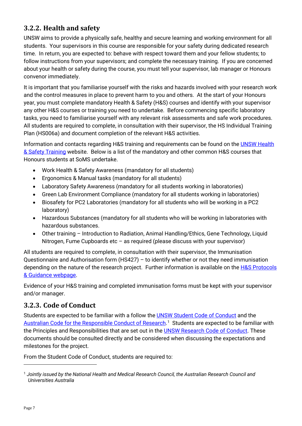# **3.2.2. Health and safety**

UNSW aims to provide a physically safe, healthy and secure learning and working environment for all students. Your supervisors in this course are responsible for your safety during dedicated research time. In return, you are expected to: behave with respect toward them and your fellow students; to follow instructions from your supervisors; and complete the necessary training. If you are concerned about your health or safety during the course, you must tell your supervisor, lab manager or Honours convenor immediately.

It is important that you familiarise yourself with the risks and hazards involved with your research work and the control measures in place to prevent harm to you and others. At the start of your Honours year, you must complete mandatory Health & Safety (H&S) courses and identify with your supervisor any other H&S courses or training you need to undertake. Before commencing specific laboratory tasks, you need to familiarise yourself with any relevant risk assessments and safe work procedures. All students are required to complete, in consultation with their supervisor, the HS Individual Training Plan (HS006a) and document completion of the relevant H&S activities.

Information and contacts regarding H&S training and requirements can be found on the [UNSW Health](http://safety.unsw.edu.au/Training/student-training)  [& Safety Training](http://safety.unsw.edu.au/Training/student-training) website. Below is a list of the mandatory and other common H&S courses that Honours students at SoMS undertake.

- Work Health & Safety Awareness (mandatory for all students)
- Ergonomics & Manual tasks (mandatory for all students)
- Laboratory Safety Awareness (mandatory for all students working in laboratories)
- Green Lab Environment Compliance (mandatory for all students working in laboratories)
- Biosafety for PC2 Laboratories (mandatory for all students who will be working in a PC2 laboratory)
- Hazardous Substances (mandatory for all students who will be working in laboratories with hazardous substances.
- Other training Introduction to Radiation, Animal Handling/Ethics, Gene Technology, Liquid Nitrogen, Fume Cupboards etc – as required (please discuss with your supervisor)

All students are required to complete, in consultation with their supervisor, the Immunisation Questionnaire and Authorisation form (HS427) – to identify whether or not they need immunisation depending on the nature of the research project. Further information is available on the H&S Protocols [& Guidance webpage.](https://medicalsciences.med.unsw.edu.au/staff/health-safety/protocols-and-guidance)

Evidence of your H&S training and completed immunisation forms must be kept with your supervisor and/or manager.

# **3.2.3. Code of Conduct**

Students are expected to be familiar with a follow the [UNSW Student Code of Conduct](https://www.edi.unsw.edu.au/conduct-integrity/conduct-unsw/student-conduct-integrity/student-code-conduct) and the [Australian Code for the Responsible Conduct of Research.](https://www.nhmrc.gov.au/about-us/publications/australian-code-responsible-conduct-research-2018)<sup>[1](#page-6-0)</sup> Students are expected to be familiar with the Principles and Responsibilities that are set out in the [UNSW Research Code of Conduct.](https://www.edi.unsw.edu.au/conduct-integrity/conduct-unsw/research-integrity/responsible-conduct-research) These documents should be consulted directly and be considered when discussing the expectations and milestones for the project.

From the Student Code of Conduct, students are required to:

<span id="page-6-0"></span><sup>1</sup> *Jointly issued by the National Health and Medical Research Council, the Australian Research Council and Universities Australia*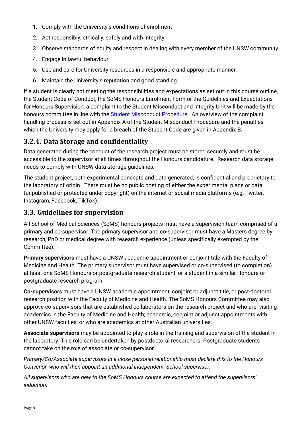- 1. Comply with the University's conditions of enrolment
- 2. Act responsibly, ethically, safely and with integrity
- 3. Observe standards of equity and respect in dealing with every member of the UNSW community
- 4. Engage in lawful behaviour
- 5. Use and care for University resources in a responsible and appropriate manner
- 6. Maintain the University's reputation and good standing

If a student is clearly not meeting the responsibilities and expectations as set out in this course outline, the Student Code of Conduct, the SoMS Honours Enrolment Form or the Guidelines and Expectations for Honours Supervision, a complaint to the Student Misconduct and Integrity Unit will be made by the honours committee in line with the [Student Misconduct Procedure.](https://www.edi.unsw.edu.au/conduct-integrity/conduct-unsw/student-conduct-integrity/student-code-conduct) An overview of the complaint handling process is set out in Appendix A of the Student Misconduct Procedure and the penalties which the University may apply for a breach of the Student Code are given in Appendix B.

# **3.2.4. Data Storage and confidentiality**

Data generated during the conduct of the research project must be stored securely and must be accessible to the supervisor at all times throughout the Honours candidature. Research data storage needs to comply with UNSW data storage guidelines.

The student project, both experimental concepts and data generated, is confidential and proprietary to the laboratory of origin. There must be no public posting of either the experimental plans or data (unpublished or protected under copyright) on the internet or social media platforms (e.g. Twitter, Instagram, Facebook, TikTok)**.**

# <span id="page-7-0"></span>**3.3. Guidelines for supervision**

All School of Medical Sciences (SoMS) honours projects must have a supervision team comprised of a primary and co-supervisor. The primary supervisor and co-supervisor must have a Masters degree by research, PhD or medical degree with research experience (unless specifically exempted by the Committee).

**Primary supervisors** must have a UNSW academic appointment or conjoint title with the Faculty of Medicine and Health. The primary supervisor must have supervised or co-supervised (to completion) at least one SoMS Honours or postgraduate research student, or a student in a similar Honours or postgraduate research program.

**Co-supervisors** must have a UNSW academic appointment, conjoint or adjunct title, or post-doctoral research position with the Faculty of Medicine and Health. The SoMS Honours Committee may also approve co-supervisors that are established collaborators on the research project and who are: visiting academics in the Faculty of Medicine and Health; academic, conjoint or adjunct appointments with other UNSW faculties; or who are academics at other Australian universities.

**Associate supervisors** may be appointed to play a role in the training and supervision of the student in the laboratory. This role can be undertaken by postdoctoral researchers. Postgraduate students cannot take on the role of associate or co-supervisor.

*Primary/Co/Associate supervisors in a close personal relationship must declare this to the Honours Convenor, who will then appoint an additional independent, School supervisor.*

*All supervisors who are new to the SoMS Honours course are expected to attend the supervisors' induction.*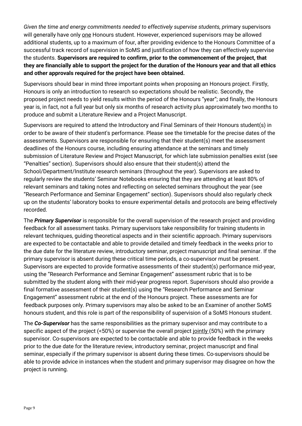*Given the time and energy commitments needed to effectively supervise students, p*rimary supervisors will generally have only one Honours student. However, experienced supervisors may be allowed additional students, up to a maximum of four, after providing evidence to the Honours Committee of a successful track record of supervision in SoMS and justification of how they can effectively supervise the students. **Supervisors are required to confirm, prior to the commencement of the project, that they are financially able to support the project for the duration of the Honours year and that all ethics and other approvals required for the project have been obtained.**

Supervisors should bear in mind three important points when proposing an Honours project. Firstly, Honours is only an introduction to research so expectations should be realistic. Secondly, the proposed project needs to yield results within the period of the Honours "year"; and finally, the Honours year is, in fact, not a full year but only six months of research activity plus approximately two months to produce and submit a Literature Review and a Project Manuscript.

Supervisors are required to attend the Introductory and Final Seminars of their Honours student(s) in order to be aware of their student's performance. Please see the timetable for the precise dates of the assessments. Supervisors are responsible for ensuring that their student(s) meet the assessment deadlines of the Honours course, including ensuring attendance at the seminars and timely submission of Literature Review and Project Manuscript, for which late submission penalties exist (see "Penalties" section). Supervisors should also ensure that their student(s) attend the School/Department/Institute research seminars (throughout the year). Supervisors are asked to regularly review the students' Seminar Notebooks ensuring that they are attending at least 80% of relevant seminars and taking notes and reflecting on selected seminars throughout the year (see "Research Performance and Seminar Engagement" section). Supervisors should also regularly check up on the students' laboratory books to ensure experimental details and protocols are being effectively recorded.

The *Primary Supervisor* is responsible for the overall supervision of the research project and providing feedback for all assessment tasks. Primary supervisors take responsibility for training students in relevant techniques, guiding theoretical aspects and in their scientific approach. Primary supervisors are expected to be contactable and able to provide detailed and timely feedback in the weeks prior to the due date for the literature review, introductory seminar, project manuscript and final seminar. If the primary supervisor is absent during these critical time periods, a co-supervisor must be present. Supervisors are expected to provide formative assessments of their student(s) performance mid-year, using the "Research Performance and Seminar Engagement" assessment rubric that is to be submitted by the student along with their mid-year progress report. Supervisors should also provide a final formative assessment of their student(s) using the "Research Performance and Seminar Engagement" assessment rubric at the end of the Honours project. These assessments are for feedback purposes only. Primary supervisors may also be asked to be an Examiner of another SoMS honours student, and this role is part of the responsibility of supervision of a SoMS Honours student.

The *Co-Supervisor* has the same responsibilities as the primary supervisor and may contribute to a specific aspect of the project (<50%) or supervise the overall project jointly (50%) with the primary supervisor. Co-supervisors are expected to be contactable and able to provide feedback in the weeks prior to the due date for the literature review, introductory seminar, project manuscript and final seminar, especially if the primary supervisor is absent during these times. Co-supervisors should be able to provide advice in instances when the student and primary supervisor may disagree on how the project is running.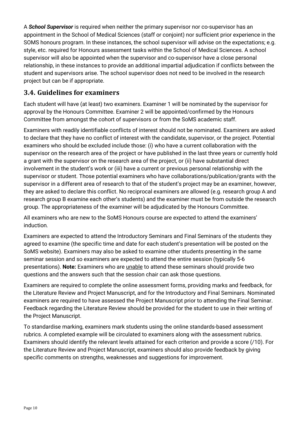A *School Supervisor* is required when neither the primary supervisor nor co-supervisor has an appointment in the School of Medical Sciences (staff or conjoint) nor sufficient prior experience in the SOMS honours program. In these instances, the school supervisor will advise on the expectations; e.g. style, etc. required for Honours assessment tasks within the School of Medical Sciences. A school supervisor will also be appointed when the supervisor and co-supervisor have a close personal relationship, in these instances to provide an additional impartial adjudication if conflicts between the student and supervisors arise. The school supervisor does not need to be involved in the research project but can be if appropriate.

# <span id="page-9-0"></span>**3.4. Guidelines for examiners**

Each student will have (at least) two examiners. Examiner 1 will be nominated by the supervisor for approval by the Honours Committee. Examiner 2 will be appointed/confirmed by the Honours Committee from amongst the cohort of supervisors or from the SoMS academic staff.

Examiners with readily identifiable conflicts of interest should not be nominated. Examiners are asked to declare that they have no conflict of interest with the candidate, supervisor, or the project. Potential examiners who should be excluded include those: (i) who have a current collaboration with the supervisor on the research area of the project or have published in the last three years or currently hold a grant with the supervisor on the research area of the project, or (ii) have substantial direct involvement in the student's work or (iii) have a current or previous personal relationship with the supervisor or student. Those potential examiners who have collaborations/publication/grants with the supervisor in a different area of research to that of the student's project may be an examiner, however, they are asked to declare this conflict. No reciprocal examiners are allowed (e.g. research group A and research group B examine each other's students) and the examiner must be from outside the research group. The appropriateness of the examiner will be adjudicated by the Honours Committee.

All examiners who are new to the SoMS Honours course are expected to attend the examiners' induction*.*

Examiners are expected to attend the Introductory Seminars and Final Seminars of the students they agreed to examine (the specific time and date for each student's presentation will be posted on the SoMS website). Examiners may also be asked to examine other students presenting in the same seminar session and so examiners are expected to attend the entire session (typically 5-6 presentations). **Note:** Examiners who are unable to attend these seminars should provide two questions and the answers such that the session chair can ask those questions.

Examiners are required to complete the online assessment forms, providing marks and feedback, for the Literature Review and Project Manuscript, and for the Introductory and Final Seminars. Nominated examiners are required to have assessed the Project Manuscript prior to attending the Final Seminar. Feedback regarding the Literature Review should be provided for the student to use in their writing of the Project Manuscript.

To standardise marking, examiners mark students using the online standards-based assessment rubrics. A completed example will be circulated to examiners along with the assessment rubrics. Examiners should identify the relevant levels attained for each criterion and provide a score (/10). For the Literature Review and Project Manuscript, examiners should also provide feedback by giving specific comments on strengths, weaknesses and suggestions for improvement.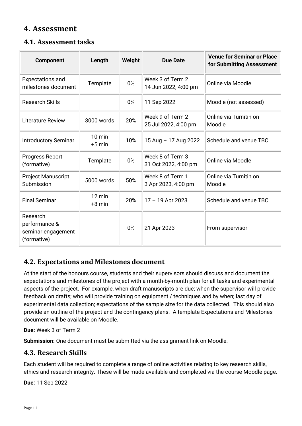# <span id="page-10-0"></span>**4. Assessment**

# <span id="page-10-1"></span>**4.1. Assessment tasks**

| <b>Component</b>                                               | Length                       | Weight | <b>Due Date</b>                          | <b>Venue for Seminar or Place</b><br>for Submitting Assessment |
|----------------------------------------------------------------|------------------------------|--------|------------------------------------------|----------------------------------------------------------------|
| <b>Expectations and</b><br>milestones document                 | Template                     | 0%     | Week 3 of Term 2<br>14 Jun 2022, 4:00 pm | Online via Moodle                                              |
| <b>Research Skills</b>                                         |                              | 0%     | 11 Sep 2022                              | Moodle (not assessed)                                          |
| <b>Literature Review</b>                                       | 3000 words                   | 20%    | Week 9 of Term 2<br>25 Jul 2022, 4:00 pm | Online via Turnitin on<br>Moodle                               |
| <b>Introductory Seminar</b>                                    | $10 \text{ min}$<br>$+5$ min | 10%    | 15 Aug - 17 Aug 2022                     | Schedule and venue TBC                                         |
| Progress Report<br>(formative)                                 | Template                     | 0%     | Week 8 of Term 3<br>31 Oct 2022, 4:00 pm | Online via Moodle                                              |
| <b>Project Manuscript</b><br>Submission                        | 5000 words                   | 50%    | Week 8 of Term 1<br>3 Apr 2023, 4:00 pm  | Online via Turnitin on<br>Moodle                               |
| <b>Final Seminar</b>                                           | $12 \text{ min}$<br>$+8$ min | 20%    | $17 - 19$ Apr 2023                       | Schedule and venue TBC                                         |
| Research<br>performance &<br>seminar engagement<br>(formative) |                              | 0%     | 21 Apr 2023                              | From supervisor                                                |

# <span id="page-10-2"></span>**4.2. Expectations and Milestones document**

At the start of the honours course, students and their supervisors should discuss and document the expectations and milestones of the project with a month-by-month plan for all tasks and experimental aspects of the project. For example, when draft manuscripts are due; when the supervisor will provide feedback on drafts; who will provide training on equipment / techniques and by when; last day of experimental data collection; expectations of the sample size for the data collected. This should also provide an outline of the project and the contingency plans. A template Expectations and Milestones document will be available on Moodle.

**Due:** Week 3 of Term 2

**Submission:** One document must be submitted via the assignment link on Moodle.

# <span id="page-10-3"></span>**4.3. Research Skills**

Each student will be required to complete a range of online activities relating to key research skills, ethics and research integrity. These will be made available and completed via the course Moodle page.

**Due:** 11 Sep 2022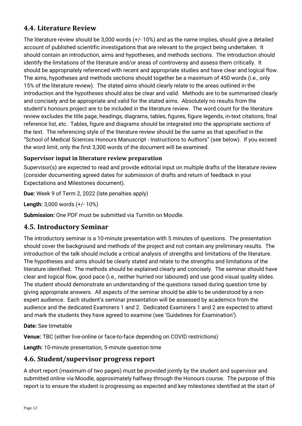# <span id="page-11-0"></span>**4.4. Literature Review**

The literature review should be 3,000 words (+/- 10%) and as the name implies, should give a detailed account of published scientific investigations that are relevant to the project being undertaken. It should contain an introduction, aims and hypotheses, and methods sections. The introduction should identify the limitations of the literature and/or areas of controversy and assess them critically. It should be appropriately referenced with recent and appropriate studies and have clear and logical flow. The aims, hypotheses and methods sections should together be a maximum of 450 words (i.e., only 15% of the literature review). The stated aims should clearly relate to the areas outlined in the introduction and the hypotheses should also be clear and valid. Methods are to be summarised clearly and concisely and be appropriate and valid for the stated aims. Absolutely no results from the student's honours project are to be included in the literature review. The word count for the literature review excludes the title page, headings, diagrams, tables, figures, figure legends, in-text citations, final reference list, etc. Tables, figure and diagrams should be integrated into the appropriate sections of the text. The referencing style of the literature review should be the same as that specified in the "School of Medical Sciences Honours Manuscript - Instructions to Authors" (see below). If you exceed the word limit, only the first 3,300 words of the document will be examined.

### **Supervisor input in literature review preparation**

Supervisor(s) are expected to read and provide editorial input on multiple drafts of the literature review (consider documenting agreed dates for submission of drafts and return of feedback in your Expectations and Milestones document).

**Due:** Week 9 of Term 2, 2022 (late penalties apply)

**Length:** 3,000 words (+/- 10%)

**Submission:** One PDF must be submitted via Turnitin on Moodle.

# <span id="page-11-1"></span>**4.5. Introductory Seminar**

The introductory seminar is a 10-minute presentation with 5 minutes of questions. The presentation should cover the background and methods of the project and not contain any preliminary results. The introduction of the talk should include a critical analysis of strengths and limitations of the literature. The hypotheses and aims should be clearly stated and relate to the strengths and limitations of the literature identified. The methods should be explained clearly and concisely. The seminar should have clear and logical flow, good pace (i.e., neither hurried nor laboured) and use good visual quality slides. The student should demonstrate an understanding of the questions raised during question time by giving appropriate answers. All aspects of the seminar should be able to be understood by a nonexpert audience. Each student's seminar presentation will be assessed by academics from the audience and the dedicated Examiners 1 and 2. Dedicated Examiners 1 and 2 are expected to attend and mark the students they have agreed to examine (see 'Guidelines for Examination').

**Date:** See timetable

**Venue:** TBC (either live-online or face-to-face depending on COVID restrictions)

**Length:** 10-minute presentation, 5-minute question time

### <span id="page-11-2"></span>**4.6. Student/supervisor progress report**

A short report (maximum of two pages) must be provided jointly by the student and supervisor and submitted online via Moodle, approximately halfway through the Honours course. The purpose of this report is to ensure the student is progressing as expected and key milestones identified at the start of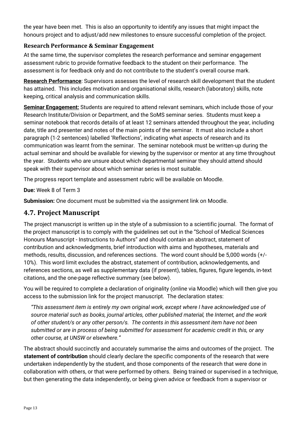the year have been met. This is also an opportunity to identify any issues that might impact the honours project and to adjust/add new milestones to ensure successful completion of the project.

### **Research Performance & Seminar Engagement**

At the same time, the supervisor completes the research performance and seminar engagement assessment rubric to provide formative feedback to the student on their performance. The assessment is for feedback only and do not contribute to the student's overall course mark.

**Research Performance**: Supervisors assesses the level of research skill development that the student has attained. This includes motivation and organisational skills, research (laboratory) skills, note keeping, critical analysis and communication skills.

**Seminar Engagement:** Students are required to attend relevant seminars, which include those of your Research Institute/Division or Department, and the SoMS seminar series. Students must keep a seminar notebook that records details of at least 12 seminars attended throughout the year, including date, title and presenter and notes of the main points of the seminar. It must also include a short paragraph (1-2 sentences) labelled 'Reflections', indicating what aspects of research and its communication was learnt from the seminar. The seminar notebook must be written-up during the actual seminar and should be available for viewing by the supervisor or mentor at any time throughout the year. Students who are unsure about which departmental seminar they should attend should speak with their supervisor about which seminar series is most suitable.

The progress report template and assessment rubric will be available on Moodle.

**Due:** Week 8 of Term 3

**Submission:** One document must be submitted via the assignment link on Moodle.

### <span id="page-12-0"></span>**4.7. Project Manuscript**

The project manuscript is written up in the style of a submission to a scientific journal. The format of the project manuscript is to comply with the guidelines set out in the "School of Medical Sciences Honours Manuscript - Instructions to Authors" and should contain an abstract, statement of contribution and acknowledgments, brief introduction with aims and hypotheses, materials and methods, results, discussion, and references sections. The word count should be 5,000 words (+/- 10%). This word limit excludes the abstract, statement of contribution, acknowledgements, and references sections, as well as supplementary data (if present), tables, figures, figure legends, in-text citations, and the one-page reflective summary (see below).

You will be required to complete a declaration of originality (online via Moodle) which will then give you access to the submission link for the project manuscript. The declaration states:

*"This assessment item is entirely my own original work, except where I have acknowledged use of source material such as books, journal articles, other published material, the Internet, and the work of other student/s or any other person/s. The contents in this assessment item have not been submitted or are in process of being submitted for assessment for academic credit in this, or any other course, at UNSW or elsewhere."*

The abstract should succinctly and accurately summarise the aims and outcomes of the project. The **statement of contribution** should clearly declare the specific components of the research that were undertaken independently by the student, and those components of the research that were done in collaboration with others, or that were performed by others. Being trained or supervised in a technique, but then generating the data independently, or being given advice or feedback from a supervisor or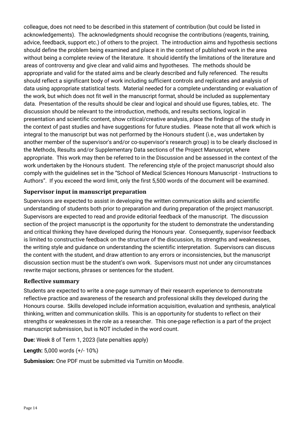colleague, does not need to be described in this statement of contribution (but could be listed in acknowledgements). The acknowledgments should recognise the contributions (reagents, training, advice, feedback, support etc.) of others to the project. The introduction aims and hypothesis sections should define the problem being examined and place it in the context of published work in the area without being a complete review of the literature. It should identify the limitations of the literature and areas of controversy and give clear and valid aims and hypotheses. The methods should be appropriate and valid for the stated aims and be clearly described and fully referenced. The results should reflect a significant body of work including sufficient controls and replicates and analysis of data using appropriate statistical tests. Material needed for a complete understanding or evaluation of the work, but which does not fit well in the manuscript format, should be included as supplementary data. Presentation of the results should be clear and logical and should use figures, tables, etc. The discussion should be relevant to the introduction, methods, and results sections, logical in presentation and scientific content, show critical/creative analysis, place the findings of the study in the context of past studies and have suggestions for future studies. Please note that all work which is integral to the manuscript but was not performed by the Honours student (i.e., was undertaken by another member of the supervisor's and/or co-supervisor's research group) is to be clearly disclosed in the Methods, Results and/or Supplementary Data sections of the Project Manuscript, where appropriate. This work may then be referred to in the Discussion and be assessed in the context of the work undertaken by the Honours student. The referencing style of the project manuscript should also comply with the guidelines set in the "School of Medical Sciences Honours Manuscript - Instructions to Authors". If you exceed the word limit, only the first 5,500 words of the document will be examined.

### **Supervisor input in manuscript preparation**

Supervisors are expected to assist in developing the written communication skills and scientific understanding of students both prior to preparation and during preparation of the project manuscript. Supervisors are expected to read and provide editorial feedback of the manuscript. The discussion section of the project manuscript is the opportunity for the student to demonstrate the understanding and critical thinking they have developed during the Honours year. Consequently, supervisor feedback is limited to constructive feedback on the structure of the discussion, its strengths and weaknesses, the writing style and guidance on understanding the scientific interpretation. Supervisors can discuss the content with the student, and draw attention to any errors or inconsistencies, but the manuscript discussion section must be the student's own work. Supervisors must not under any circumstances rewrite major sections, phrases or sentences for the student.

### **Reflective summary**

Students are expected to write a one-page summary of their research experience to demonstrate reflective practice and awareness of the research and professional skills they developed during the Honours course. Skills developed include information acquisition, evaluation and synthesis, analytical thinking, written and communication skills. This is an opportunity for students to reflect on their strengths or weaknesses in the role as a researcher. This one-page reflection is a part of the project manuscript submission, but is NOT included in the word count.

**Due:** Week 8 of Term 1, 2023 (late penalties apply)

**Length:** 5,000 words (+/- 10%)

**Submission:** One PDF must be submitted via Turnitin on Moodle.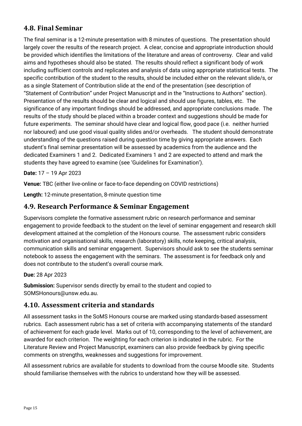# <span id="page-14-0"></span>**4.8. Final Seminar**

The final seminar is a 12-minute presentation with 8 minutes of questions. The presentation should largely cover the results of the research project. A clear, concise and appropriate introduction should be provided which identifies the limitations of the literature and areas of controversy. Clear and valid aims and hypotheses should also be stated. The results should reflect a significant body of work including sufficient controls and replicates and analysis of data using appropriate statistical tests. The specific contribution of the student to the results, should be included either on the relevant slide/s, or as a single Statement of Contribution slide at the end of the presentation (see description of "Statement of Contribution" under Project Manuscript and in the "Instructions to Authors" section). Presentation of the results should be clear and logical and should use figures, tables, etc. The significance of any important findings should be addressed, and appropriate conclusions made. The results of the study should be placed within a broader context and suggestions should be made for future experiments. The seminar should have clear and logical flow, good pace (i.e. neither hurried nor laboured) and use good visual quality slides and/or overheads. The student should demonstrate understanding of the questions raised during question time by giving appropriate answers. Each student's final seminar presentation will be assessed by academics from the audience and the dedicated Examiners 1 and 2. Dedicated Examiners 1 and 2 are expected to attend and mark the students they have agreed to examine (see 'Guidelines for Examination').

**Date:** 17 – 19 Apr 2023

**Venue:** TBC (either live-online or face-to-face depending on COVID restrictions)

**Length:** 12-minute presentation, 8-minute question time

### <span id="page-14-1"></span>**4.9. Research Performance & Seminar Engagement**

Supervisors complete the formative assessment rubric on research performance and seminar engagement to provide feedback to the student on the level of seminar engagement and research skill development attained at the completion of the Honours course. The assessment rubric considers motivation and organisational skills, research (laboratory) skills, note keeping, critical analysis, communication skills and seminar engagement. Supervisors should ask to see the students seminar notebook to assess the engagement with the seminars. The assessment is for feedback only and does not contribute to the student's overall course mark.

### **Due:** 28 Apr 2023

**Submission:** Supervisor sends directly by email to the student and copied to SOMSHonours@unsw.edu.au.

### <span id="page-14-2"></span>**4.10. Assessment criteria and standards**

All assessment tasks in the SoMS Honours course are marked using standards-based assessment rubrics. Each assessment rubric has a set of criteria with accompanying statements of the standard of achievement for each grade level. Marks out of 10, corresponding to the level of achievement, are awarded for each criterion. The weighting for each criterion is indicated in the rubric. For the Literature Review and Project Manuscript, examiners can also provide feedback by giving specific comments on strengths, weaknesses and suggestions for improvement.

All assessment rubrics are available for students to download from the course Moodle site. Students should familiarise themselves with the rubrics to understand how they will be assessed.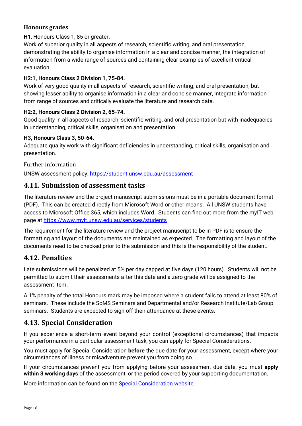### **Honours grades**

### **H1**, Honours Class 1, 85 or greater.

Work of superior quality in all aspects of research, scientific writing, and oral presentation, demonstrating the ability to organise information in a clear and concise manner, the integration of information from a wide range of sources and containing clear examples of excellent critical evaluation.

### **H2:1, Honours Class 2 Division 1, 75-84.**

Work of very good quality in all aspects of research, scientific writing, and oral presentation, but showing lesser ability to organise information in a clear and concise manner, integrate information from range of sources and critically evaluate the literature and research data.

### **H2:2, Honours Class 2 Division 2, 65-74.**

Good quality in all aspects of research, scientific writing, and oral presentation but with inadequacies in understanding, critical skills, organisation and presentation.

### **H3, Honours Class 3, 50-64.**

Adequate quality work with significant deficiencies in understanding, critical skills, organisation and presentation.

Further information

UNSW assessment policy:<https://student.unsw.edu.au/assessment>

### <span id="page-15-0"></span>**4.11. Submission of assessment tasks**

The literature review and the project manuscript submissions must be in a portable document format (PDF). This can be created directly from Microsoft Word or other means. All UNSW students have access to Microsoft Office 365, which includes Word. Students can find out more from the myIT web page at<https://www.myit.unsw.edu.au/services/students>

The requirement for the literature review and the project manuscript to be in PDF is to ensure the formatting and layout of the documents are maintained as expected. The formatting and layout of the documents need to be checked prior to the submission and this is the responsibility of the student.

### <span id="page-15-1"></span>**4.12. Penalties**

Late submissions will be penalized at 5% per day capped at five days (120 hours). Students will not be permitted to submit their assessments after this date and a zero grade will be assigned to the assessment item.

A 1% penalty of the total Honours mark may be imposed where a student fails to attend at least 80% of seminars. These include the SoMS Seminars and Departmental and/or Research Institute/Lab Group seminars. Students are expected to sign off their attendance at these events.

# <span id="page-15-2"></span>**4.13. Special Consideration**

If you experience a short-term event beyond your control (exceptional circumstances) that impacts your performance in a particular assessment task, you can apply for Special Considerations.

You must apply for Special Consideration **before** the due date for your assessment, except where your circumstances of illness or misadventure prevent you from doing so.

If your circumstances prevent you from applying before your assessment due date, you must **apply within 3 working days** of the assessment, or the period covered by your supporting documentation.

More information can be found on the [Special Consideration website.](https://www.student.unsw.edu.au/special-consideration)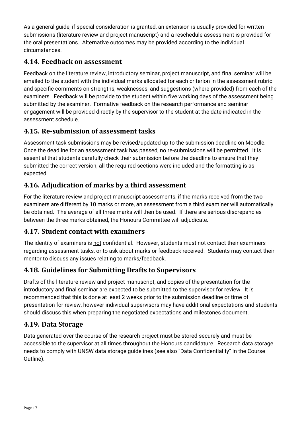As a general guide, if special consideration is granted, an extension is usually provided for written submissions (literature review and project manuscript) and a reschedule assessment is provided for the oral presentations. Alternative outcomes may be provided according to the individual circumstances.

# <span id="page-16-0"></span>**4.14. Feedback on assessment**

Feedback on the literature review, introductory seminar, project manuscript, and final seminar will be emailed to the student with the individual marks allocated for each criterion in the assessment rubric and specific comments on strengths, weaknesses, and suggestions (where provided) from each of the examiners. Feedback will be provide to the student within five working days of the assessment being submitted by the examiner. Formative feedback on the research performance and seminar engagement will be provided directly by the supervisor to the student at the date indicated in the assessment schedule.

# <span id="page-16-1"></span>**4.15. Re-submission of assessment tasks**

Assessment task submissions may be revised/updated up to the submission deadline on Moodle. Once the deadline for an assessment task has passed, no re-submissions will be permitted. It is essential that students carefully check their submission before the deadline to ensure that they submitted the correct version, all the required sections were included and the formatting is as expected.

# <span id="page-16-2"></span>**4.16. Adjudication of marks by a third assessment**

For the literature review and project manuscript assessments, if the marks received from the two examiners are different by 10 marks or more, an assessment from a third examiner will automatically be obtained. The average of all three marks will then be used. If there are serious discrepancies between the three marks obtained, the Honours Committee will adjudicate.

# <span id="page-16-3"></span>**4.17. Student contact with examiners**

The identity of examiners is not confidential. However, students must not contact their examiners regarding assessment tasks, or to ask about marks or feedback received. Students may contact their mentor to discuss any issues relating to marks/feedback.

# <span id="page-16-4"></span>**4.18. Guidelines for Submitting Drafts to Supervisors**

Drafts of the literature review and project manuscript, and copies of the presentation for the introductory and final seminar are expected to be submitted to the supervisor for review. It is recommended that this is done at least 2 weeks prior to the submission deadline or time of presentation for review, however individual supervisors may have additional expectations and students should discuss this when preparing the negotiated expectations and milestones document.

# <span id="page-16-5"></span>**4.19. Data Storage**

Data generated over the course of the research project must be stored securely and must be accessible to the supervisor at all times throughout the Honours candidature. Research data storage needs to comply with UNSW data storage guidelines (see also "Data Confidentiality" in the Course Outline).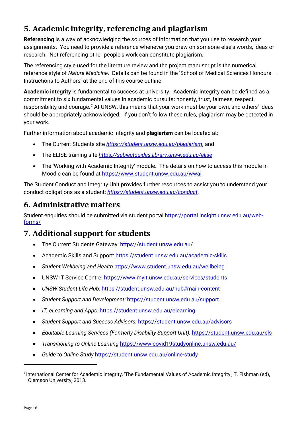# <span id="page-17-0"></span>**5. Academic integrity, referencing and plagiarism**

**Referencing** is a way of acknowledging the sources of information that you use to research your assignments. You need to provide a reference whenever you draw on someone else's words, ideas or research. Not referencing other people's work can constitute plagiarism.

The referencing style used for the literature review and the project manuscript is the numerical reference style of *Nature Medicine*. Details can be found in the 'School of Medical Sciences Honours – Instructions to Authors' at the end of this course outline.

**Academic integrity** is fundamental to success at university. Academic integrity can be defined as a commitment to six fundamental values in academic pursuits**:** honesty, trust, fairness, respect, responsibility and courage.*[2](#page-17-3)* At UNSW, this means that your work must be your own, and others' ideas should be appropriately acknowledged. If you don't follow these rules, plagiarism may be detected in your work.

Further information about academic integrity and **plagiarism** can be located at:

- The Current Students site *<https://student.unsw.edu.au/plagiarism>***,** and
- The ELISE training site *<https://subjectguides.library.unsw.edu.au/elise>*
- The 'Working with Academic Integrity' module. The details on how to access this module in Moodle can be found at<https://www.student.unsw.edu.au/wwai>

The Student Conduct and Integrity Unit provides further resources to assist you to understand your conduct obligations as a student: *<https://student.unsw.edu.au/conduct>*.

# <span id="page-17-1"></span>**6. Administrative matters**

Student enquiries should be submitted via student portal [https://portal.insight.unsw.edu.au/web](https://portal.insight.unsw.edu.au/web-forms/)[forms/](https://portal.insight.unsw.edu.au/web-forms/)

# <span id="page-17-2"></span>**7. Additional support for students**

- The Current Students Gateway:<https://student.unsw.edu.au/>
- Academic Skills and Support:<https://student.unsw.edu.au/academic-skills>
- *Student Wellbeing and Health* <https://www.student.unsw.edu.au/wellbeing>
- UNSW IT Service Centre:<https://www.myit.unsw.edu.au/services/students>
- *UNSW Student Life Hub:* <https://student.unsw.edu.au/hub#main-content>
- *Student Support and Development:* <https://student.unsw.edu.au/support>
- *IT, eLearning and Apps:* <https://student.unsw.edu.au/elearning>
- *Student Support and Success Advisors:* <https://student.unsw.edu.au/advisors>
- *Equitable Learning Services (Formerly Disability Support Unit):* <https://student.unsw.edu.au/els>
- *Transitioning to Online Learning* <https://www.covid19studyonline.unsw.edu.au/>
- *Guide to Online Study* <https://student.unsw.edu.au/online-study>

<span id="page-17-3"></span><sup>2</sup> International Center for Academic Integrity, 'The Fundamental Values of Academic Integrity', T. Fishman (ed), Clemson University, 2013.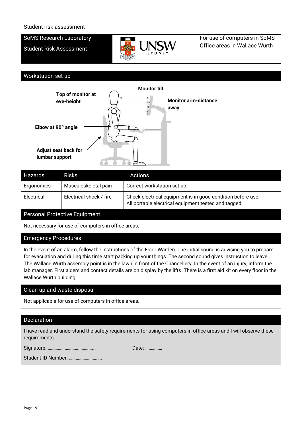#### Student risk assessment

#### SoMS Research Laboratory

Student Risk Assessment



For use of computers in SoMS Office areas in Wallace Wurth

#### Workstation set-up



| Hazards    | <b>Risks</b>            | Actions                                                                                                             |
|------------|-------------------------|---------------------------------------------------------------------------------------------------------------------|
| Ergonomics | Musculoskeletal pain    | Correct workstation set-up.                                                                                         |
| Electrical | Electrical shock / fire | Check electrical equipment is in good condition before use.<br>All portable electrical equipment tested and tagged. |
|            |                         |                                                                                                                     |

#### Personal Protective Equipment

Not necessary for use of computers in office areas.

#### Emergency Procedures

In the event of an alarm, follow the instructions of the Floor Warden. The initial sound is advising you to prepare for evacuation and during this time start packing up your things. The second sound gives instruction to leave. The Wallace Wurth assembly point is in the lawn in front of the Chancellery. In the event of an injury, inform the lab manager. First aiders and contact details are on display by the lifts. There is a first aid kit on every floor in the Wallace Wurth building.

#### Clean up and waste disposal

Not applicable for use of computers in office areas.

#### Declaration

I have read and understand the safety requirements for using computers in office areas and I will observe these requirements.

Signature: …………………………………... Date: ……………

Student ID Number: ………………………..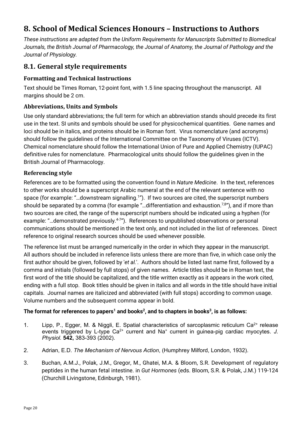# <span id="page-19-0"></span>**8. School of Medical Sciences Honours – Instructions to Authors**

*These instructions are adapted from the Uniform Requirements for Manuscripts Submitted to Biomedical Journals, the British Journal of Pharmacology, the Journal of Anatomy, the Journal of Pathology and the Journal of Physiology.*

# <span id="page-19-1"></span>**8.1. General style requirements**

### **Formatting and Technical Instructions**

Text should be Times Roman, 12-point font, with 1.5 line spacing throughout the manuscript. All margins should be 2 cm.

### **Abbreviations, Units and Symbols**

Use only standard abbreviations; the full term for which an abbreviation stands should precede its first use in the text. SI units and symbols should be used for physicochemical quantities. Gene names and loci should be in italics, and proteins should be in Roman font. Virus nomenclature (and acronyms) should follow the guidelines of the International Committee on the Taxonomy of Viruses (ICTV). Chemical nomenclature should follow the International Union of Pure and Applied Chemistry (IUPAC) definitive rules for nomenclature. Pharmacological units should follow the guidelines given in the British Journal of Pharmacology.

### **Referencing style**

References are to be formatted using the convention found in *Nature Medicine*. In the text, references to other works should be a superscript Arabic numeral at the end of the relevant sentence with no space (for example: "...downstream signalling.<sup>1</sup>"). If two sources are cited, the superscript numbers should be separated by a comma (for example "...differentiation and exhaustion.<sup>7,8</sup>"), and if more than two sources are cited, the range of the superscript numbers should be indicated using a hyphen (for example: "...demonstrated previously.<sup>4-7</sup>"). References to unpublished observations or personal communications should be mentioned in the text only, and not included in the list of references. Direct reference to original research sources should be used whenever possible.

The reference list must be arranged numerically in the order in which they appear in the manuscript. All authors should be included in reference lists unless there are more than five, in which case only the first author should be given, followed by '*et al.*'. Authors should be listed last name first, followed by a comma and initials (followed by full stops) of given names. Article titles should be in Roman text, the first word of the title should be capitalized, and the title written exactly as it appears in the work cited, ending with a full stop. Book titles should be given in italics and all words in the title should have initial capitals. Journal names are italicized and abbreviated (with full stops) according to common usage. Volume numbers and the subsequent comma appear in bold.

### The format for references to papers<sup>1</sup> and books<sup>2</sup>, and to chapters in books<sup>3</sup>, is as follows:

- 1. Lipp, P., Egger, M. & Niggli, E. Spatial characteristics of sarcoplasmic reticulum Ca<sup>2+</sup> release events triggered by L-type Ca<sup>2+</sup> current and Na<sup>+</sup> current in guinea-pig cardiac myocytes. J. *Physiol.* **542,** 383-393 (2002).
- 2. Adrian, E.D. *The Mechanism of Nervous Action*, (Humphrey Milford, London, 1932).
- 3. Buchan, A.M.J., Polak, J.M., Gregor, M., Ghatei, M.A. & Bloom, S.R. Development of regulatory peptides in the human fetal intestine. in *Gut Hormones* (eds. Bloom, S.R. & Polak, J.M.) 119-124 (Churchill Livingstone, Edinburgh, 1981).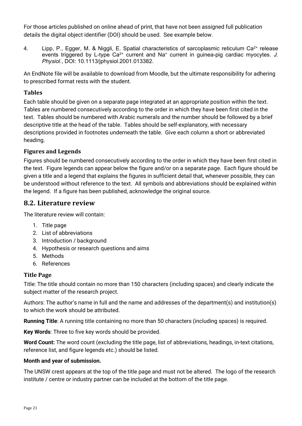For those articles published on online ahead of print, that have not been assigned full publication details the digital object identifier (DOI) should be used. See example below.

4. Lipp, P., Egger, M. & Niggli, E. Spatial characteristics of sarcoplasmic reticulum Ca<sup>2+</sup> release events triggered by L-type Ca<sup>2+</sup> current and Na<sup>+</sup> current in guinea-pig cardiac myocytes. J. *Physiol.*, DOI: 10.1113/jphysiol.2001.013382.

An EndNote file will be available to download from Moodle, but the ultimate responsibility for adhering to prescribed format rests with the student.

### **Tables**

Each table should be given on a separate page integrated at an appropriate position within the text. Tables are numbered consecutively according to the order in which they have been first cited in the text. Tables should be numbered with Arabic numerals and the number should be followed by a brief descriptive title at the head of the table. Tables should be self-explanatory, with necessary descriptions provided in footnotes underneath the table. Give each column a short or abbreviated heading.

### **Figures and Legends**

Figures should be numbered consecutively according to the order in which they have been first cited in the text. Figure legends can appear below the figure and/or on a separate page. Each figure should be given a title and a legend that explains the figures in sufficient detail that, whenever possible, they can be understood without reference to the text. All symbols and abbreviations should be explained within the legend. If a figure has been published, acknowledge the original source.

### <span id="page-20-0"></span>**8.2. Literature review**

The literature review will contain:

- 1. Title page
- 2. List of abbreviations
- 3. Introduction / background
- 4. Hypothesis or research questions and aims
- 5. Methods
- 6. References

### **Title Page**

Title: The title should contain no more than 150 characters (including spaces) and clearly indicate the subject matter of the research project.

Authors: The author's name in full and the name and addresses of the department(s) and institution(s) to which the work should be attributed.

**Running Title**: A running title containing no more than 50 characters (including spaces) is required.

**Key Words**: Three to five key words should be provided.

**Word Count:** The word count (excluding the title page, list of abbreviations, headings, in-text citations, reference list, and figure legends etc.) should be listed.

### **Month and year of submission.**

The UNSW crest appears at the top of the title page and must not be altered. The logo of the research institute / centre or industry partner can be included at the bottom of the title page.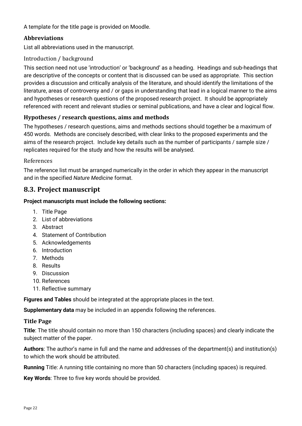A template for the title page is provided on Moodle.

### **Abbreviations**

List all abbreviations used in the manuscript.

### Introduction / background

This section need not use 'introduction' or 'background' as a heading. Headings and sub-headings that are descriptive of the concepts or content that is discussed can be used as appropriate. This section provides a discussion and critically analysis of the literature, and should identify the limitations of the literature, areas of controversy and / or gaps in understanding that lead in a logical manner to the aims and hypotheses or research questions of the proposed research project. It should be appropriately referenced with recent and relevant studies or seminal publications, and have a clear and logical flow.

### **Hypotheses / research questions, aims and methods**

The hypotheses / research questions, aims and methods sections should together be a maximum of 450 words. Methods are concisely described, with clear links to the proposed experiments and the aims of the research project. Include key details such as the number of participants / sample size / replicates required for the study and how the results will be analysed.

### References

The reference list must be arranged numerically in the order in which they appear in the manuscript and in the specified *Nature Medicine* format.

# <span id="page-21-0"></span>**8.3. Project manuscript**

### **Project manuscripts must include the following sections:**

- 1. Title Page
- 2. List of abbreviations
- 3. Abstract
- 4. Statement of Contribution
- 5. Acknowledgements
- 6. Introduction
- 7. Methods
- 8. Results
- 9. Discussion
- 10. References
- 11. Reflective summary

**Figures and Tables** should be integrated at the appropriate places in the text.

**Supplementary data** may be included in an appendix following the references.

### **Title Page**

**Title**: The title should contain no more than 150 characters (including spaces) and clearly indicate the subject matter of the paper.

**Authors**: The author's name in full and the name and addresses of the department(s) and institution(s) to which the work should be attributed.

**Running** Title: A running title containing no more than 50 characters (including spaces) is required.

**Key Words**: Three to five key words should be provided.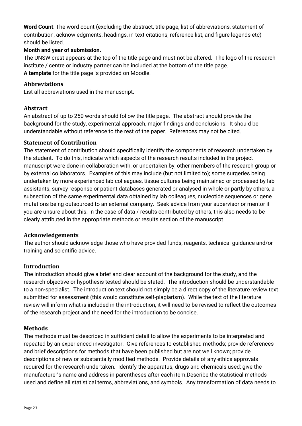**Word Count**: The word count (excluding the abstract, title page, list of abbreviations, statement of contribution, acknowledgments, headings, in-text citations, reference list, and figure legends etc) should be listed.

### **Month and year of submission.**

The UNSW crest appears at the top of the title page and must not be altered. The logo of the research institute / centre or industry partner can be included at the bottom of the title page. **A template** for the title page is provided on Moodle.

### **Abbreviations**

List all abbreviations used in the manuscript.

### **Abstract**

An abstract of up to 250 words should follow the title page. The abstract should provide the background for the study, experimental approach, major findings and conclusions. It should be understandable without reference to the rest of the paper. References may not be cited.

### **Statement of Contribution**

The statement of contribution should specifically identify the components of research undertaken by the student. To do this, indicate which aspects of the research results included in the project manuscript were done in collaboration with, or undertaken by, other members of the research group or by external collaborators. Examples of this may include (but not limited to); some surgeries being undertaken by more experienced lab colleagues, tissue cultures being maintained or processed by lab assistants, survey response or patient databases generated or analysed in whole or partly by others, a subsection of the same experimental data obtained by lab colleagues, nucleotide sequences or gene mutations being outsourced to an external company. Seek advice from your supervisor or mentor if you are unsure about this. In the case of data / results contributed by others, this also needs to be clearly attributed in the appropriate methods or results section of the manuscript.

### **Acknowledgements**

The author should acknowledge those who have provided funds, reagents, technical guidance and/or training and scientific advice.

### **Introduction**

The introduction should give a brief and clear account of the background for the study, and the research objective or hypothesis tested should be stated. The introduction should be understandable to a non-specialist. The introduction text should not simply be a direct copy of the literature review text submitted for assessment (this would constitute self-plagiarism). While the text of the literature review will inform what is included in the introduction, it will need to be revised to reflect the outcomes of the research project and the need for the introduction to be concise.

### **Methods**

The methods must be described in sufficient detail to allow the experiments to be interpreted and repeated by an experienced investigator. Give references to established methods; provide references and brief descriptions for methods that have been published but are not well known; provide descriptions of new or substantially modified methods. Provide details of any ethics approvals required for the research undertaken. Identify the apparatus, drugs and chemicals used; give the manufacturer's name and address in parentheses after each item.Describe the statistical methods used and define all statistical terms, abbreviations, and symbols. Any transformation of data needs to